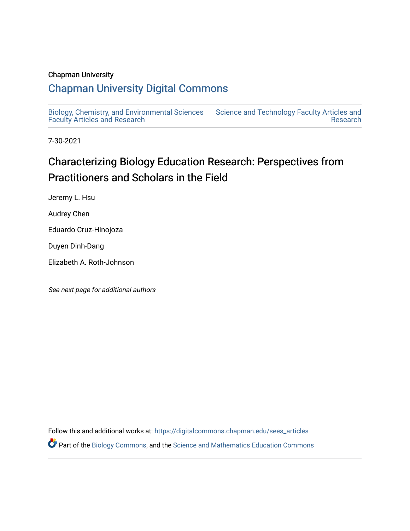# Chapman University

# [Chapman University Digital Commons](https://digitalcommons.chapman.edu/)

[Biology, Chemistry, and Environmental Sciences](https://digitalcommons.chapman.edu/sees_articles) [Faculty Articles and Research](https://digitalcommons.chapman.edu/sees_articles) [Science and Technology Faculty Articles and](https://digitalcommons.chapman.edu/science_articles)  [Research](https://digitalcommons.chapman.edu/science_articles) 

7-30-2021

# Characterizing Biology Education Research: Perspectives from Practitioners and Scholars in the Field

Jeremy L. Hsu

Audrey Chen

Eduardo Cruz-Hinojoza

Duyen Dinh-Dang

Elizabeth A. Roth-Johnson

See next page for additional authors

Follow this and additional works at: [https://digitalcommons.chapman.edu/sees\\_articles](https://digitalcommons.chapman.edu/sees_articles?utm_source=digitalcommons.chapman.edu%2Fsees_articles%2F453&utm_medium=PDF&utm_campaign=PDFCoverPages)  Part of the [Biology Commons,](http://network.bepress.com/hgg/discipline/41?utm_source=digitalcommons.chapman.edu%2Fsees_articles%2F453&utm_medium=PDF&utm_campaign=PDFCoverPages) and the [Science and Mathematics Education Commons](http://network.bepress.com/hgg/discipline/800?utm_source=digitalcommons.chapman.edu%2Fsees_articles%2F453&utm_medium=PDF&utm_campaign=PDFCoverPages)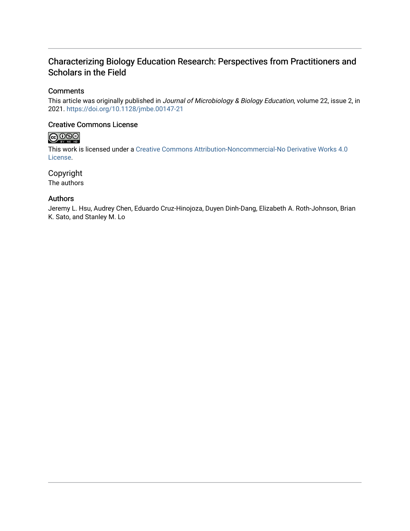# Characterizing Biology Education Research: Perspectives from Practitioners and Scholars in the Field

# **Comments**

This article was originally published in Journal of Microbiology & Biology Education, volume 22, issue 2, in 2021. <https://doi.org/10.1128/jmbe.00147-21>

# Creative Commons License

# $\bigcirc$  000

This work is licensed under a [Creative Commons Attribution-Noncommercial-No Derivative Works 4.0](https://creativecommons.org/licenses/by-nc-nd/4.0/) [License](https://creativecommons.org/licenses/by-nc-nd/4.0/).

Copyright The authors

# Authors

Jeremy L. Hsu, Audrey Chen, Eduardo Cruz-Hinojoza, Duyen Dinh-Dang, Elizabeth A. Roth-Johnson, Brian K. Sato, and Stanley M. Lo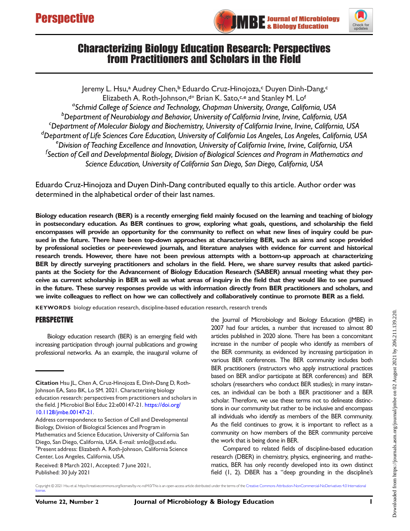



# Characterizing Biology Education Research: Perspectives from Practitioners and Scholars in the Field

Jeremy L. Hsu,ª Audrey Chen,b Eduardo Cruz-Hinojoza,<sup>c</sup> Duyen Dinh-Dang,<sup>c</sup> Elizabeth A. Roth-Johnson, d\* Brian K. Sato, c, e and Stanley M. Lof <sup>a</sup>Schmid College of Science and Technology, Chapman University, Orange, California, USA b Department of Neurobiology and Behavior, University of California Irvine, Irvine, California, USA Department of Molecular Biology and Biochemistry, University of California Irvine, Irvine, California, USA <sup>d</sup> Department of Life Sciences Core Education, University of California Los Angeles, Los Angeles, California, USA<br><sup>e</sup> Division of Teaching Excellence and Innovation, University of California Irvine, Irvine, California, US <sup>e</sup>Division of Teaching Excellence and Innovation, University of California Irvine, Irvine, California, USA <sup>f</sup>Section of Cell and Developmental Biology, Division of Biological Sciences and Program in Mathematics and Science Education, University of California San Diego, San Diego, California, USA

Eduardo Cruz-Hinojoza and Duyen Dinh-Dang contributed equally to this article. Author order was determined in the alphabetical order of their last names.

Biology education research (BER) is a recently emerging field mainly focused on the learning and teaching of biology in postsecondary education. As BER continues to grow, exploring what goals, questions, and scholarship the field encompasses will provide an opportunity for the community to reflect on what new lines of inquiry could be pursued in the future. There have been top-down approaches at characterizing BER, such as aims and scope provided by professional societies or peer-reviewed journals, and literature analyses with evidence for current and historical research trends. However, there have not been previous attempts with a bottom-up approach at characterizing BER by directly surveying practitioners and scholars in the field. Here, we share survey results that asked participants at the Society for the Advancement of Biology Education Research (SABER) annual meeting what they perceive as current scholarship in BER as well as what areas of inquiry in the field that they would like to see pursued in the future. These survey responses provide us with information directly from BER practitioners and scholars, and we invite colleagues to reflect on how we can collectively and collaboratively continue to promote BER as a field.

KEYWORDS biology education research, discipline-based education research, research trends

#### PERSPECTIVE

Biology education research (BER) is an emerging field with increasing participation through journal publications and growing professional networks. As an example, the inaugural volume of

Received: 8 March 2021, Accepted: 7 June 2021, Published: 30 July 2021

the Journal of Microbiology and Biology Education (JMBE) in 2007 had four articles, a number that increased to almost 80 articles published in 2020 alone. There has been a concomitant increase in the number of people who identify as members of the BER community, as evidenced by increasing participation in various BER conferences. The BER community includes both BER practitioners (instructors who apply instructional practices based on BER and/or participate at BER conferences) and BER scholars (researchers who conduct BER studies); in many instances, an individual can be both a BER practitioner and a BER scholar. Therefore, we use these terms not to delineate distinctions in our community but rather to be inclusive and encompass all individuals who identify as members of the BER community. As the field continues to grow, it is important to reflect as a community on how members of the BER community perceive the work that is being done in BER.

Compared to related fields of discipline-based education research (DBER) in chemistry, physics, engineering, and mathematics, BER has only recently developed into its own distinct field [\(1,](#page-8-0) [2](#page-8-1)). DBER has a "deep grounding in the discipline's

licens

Citation Hsu JL, Chen A, Cruz-Hinojoza E, Dinh-Dang D, Roth-Johnson EA, Sato BK, Lo SM. 2021. Characterizing biology education research: perspectives from practitioners and scholars in the field. J Microbiol Biol Educ 22:e00147-21. [https://doi.org/](https://doi.org/10.1128/jmbe.00147-21) [10.1128/jmbe.00147-21.](https://doi.org/10.1128/jmbe.00147-21)

Address correspondence to Section of Cell and Developmental Biology, Division of Biological Sciences and Program in Mathematics and Science Education, University of California San Diego, San Diego, California, USA. E-mail: [smlo@ucsd.edu.](mailto:smlo@ucsd.edu) \* Present address: Elizabeth A. Roth-Johnson, California Science Center, Los Angeles, California, USA.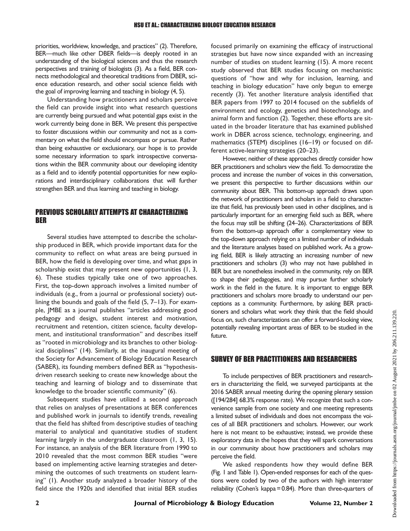priorities, worldview, knowledge, and practices" [\(2](#page-8-1)). Therefore, BER—much like other DBER fields—is deeply rooted in an understanding of the biological sciences and thus the research perspectives and training of biologists [\(3](#page-8-2)). As a field, BER connects methodological and theoretical traditions from DBER, science education research, and other social science fields with the goal of improving learning and teaching in biology [\(4,](#page-8-3) [5\)](#page-8-4).

Understanding how practitioners and scholars perceive the field can provide insight into what research questions are currently being pursued and what potential gaps exist in the work currently being done in BER. We present this perspective to foster discussions within our community and not as a commentary on what the field should encompass or pursue. Rather than being exhaustive or exclusionary, our hope is to provide some necessary information to spark introspective conversations within the BER community about our developing identity as a field and to identify potential opportunities for new explorations and interdisciplinary collaborations that will further strengthen BER and thus learning and teaching in biology.

### PREVIOUS SCHOLARLY ATTEMPTS AT CHARACTERIZING BER

Several studies have attempted to describe the scholarship produced in BER, which provide important data for the community to reflect on what areas are being pursued in BER, how the field is developing over time, and what gaps in scholarship exist that may present new opportunities [\(1](#page-8-0), [3,](#page-8-2) [6](#page-8-5)). These studies typically take one of two approaches. First, the top-down approach involves a limited number of individuals (e.g., from a journal or professional society) outlining the bounds and goals of the field ([5,](#page-8-4) [7](#page-8-6)–[13\)](#page-8-7). For example, JMBE as a journal publishes "articles addressing good pedagogy and design, student interest and motivation, recruitment and retention, citizen science, faculty development, and institutional transformation" and describes itself as "rooted in microbiology and its branches to other biological disciplines" ([14](#page-8-8)). Similarly, at the inaugural meeting of the Society for Advancement of Biology Education Research (SABER), its founding members defined BER as "hypothesisdriven research seeking to create new knowledge about the teaching and learning of biology and to disseminate that knowledge to the broader scientific community" ([6\)](#page-8-5).

Subsequent studies have utilized a second approach that relies on analyses of presentations at BER conferences and published work in journals to identify trends, revealing that the field has shifted from descriptive studies of teaching material to analytical and quantitative studies of student learning largely in the undergraduate classroom [\(1](#page-8-0), [3](#page-8-2), [15](#page-8-9)). For instance, an analysis of the BER literature from 1990 to 2010 revealed that the most common BER studies "were based on implementing active learning strategies and determining the outcomes of such treatments on student learning" ([1\)](#page-8-0). Another study analyzed a broader history of the field since the 1920s and identified that initial BER studies

focused primarily on examining the efficacy of instructional strategies but have now since expanded with an increasing number of studies on student learning [\(15](#page-8-9)). A more recent study observed that BER studies focusing on mechanistic questions of "how and why for inclusion, learning, and teaching in biology education" have only begun to emerge recently [\(3](#page-8-2)). Yet another literature analysis identified that BER papers from 1997 to 2014 focused on the subfields of environment and ecology, genetics and biotechnology, and animal form and function ([2\)](#page-8-1). Together, these efforts are situated in the broader literature that has examined published work in DBER across science, technology, engineering, and mathematics (STEM) disciplines [\(16](#page-8-10)–[19](#page-8-11)) or focused on different active-learning strategies [\(20](#page-9-0)–[23\)](#page-9-1).

However, neither of these approaches directly consider how BER practitioners and scholars view the field. To democratize the process and increase the number of voices in this conversation, we present this perspective to further discussions within our community about BER. This bottom-up approach draws upon the network of practitioners and scholars in a field to characterize that field, has previously been used in other disciplines, and is particularly important for an emerging field such as BER, where the focus may still be shifting [\(24](#page-9-2)[–](#page-9-3)[26\)](#page-9-4). Characterizations of BER from the bottom-up approach offer a complementary view to the top-down approach relying on a limited number of individuals and the literature analyses based on published work. As a growing field, BER is likely attracting an increasing number of new practitioners and scholars [\(3\)](#page-8-2) who may not have published in BER but are nonetheless involved in the community, rely on BER to shape their pedagogies, and may pursue further scholarly work in the field in the future. It is important to engage BER practitioners and scholars more broadly to understand our perceptions as a community. Furthermore, by asking BER practitioners and scholars what work they think that the field should focus on, such characterizations can offer a forward-looking view, potentially revealing important areas of BER to be studied in the future.

# SURVEY OF BER PRACTITIONERS AND RESEARCHERS

To include perspectives of BER practitioners and researchers in characterizing the field, we surveyed participants at the 2016 SABER annual meeting during the opening plenary session ([194/284] 68.3% response rate). We recognize that such a convenience sample from one society and one meeting represents a limited subset of individuals and does not encompass the voices of all BER practitioners and scholars. However, our work here is not meant to be exhaustive; instead, we provide these exploratory data in the hopes that they will spark conversations in our community about how practitioners and scholars may perceive the field.

We asked respondents how they would define BER [\(Fig. 1](#page-4-0) and [Table 1](#page-4-1)). Open-ended responses for each of the questions were coded by two of the authors with high interrater reliability (Cohen's kappa = 0.84). More than three-quarters of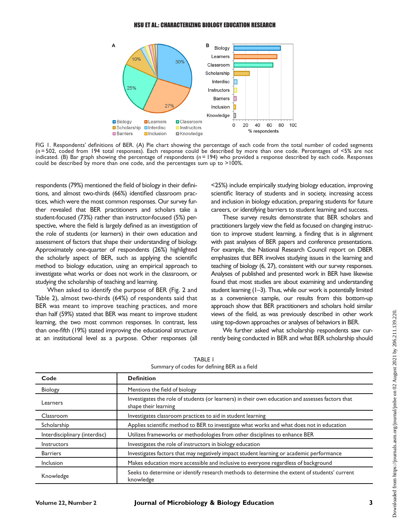

<span id="page-4-0"></span>FIG 1. Respondents' definitions of BER. (A) Pie chart showing the percentage of each code from the total number of coded segments (n = 502, coded from 194 total responses). Each response could be described by more than one code. Percentages of <5% are not indicated. (B) Bar graph showing the percentage of respondents (n=194) who provided a response described by each code. Responses could be described by more than one code, and the percentages sum up to >100%.

respondents (79%) mentioned the field of biology in their definitions, and almost two-thirds (66%) identified classroom practices, which were the most common responses. Our survey further revealed that BER practitioners and scholars take a student-focused (73%) rather than instructor-focused (5%) perspective, where the field is largely defined as an investigation of the role of students (or learners) in their own education and assessment of factors that shape their understanding of biology. Approximately one-quarter of respondents (26%) highlighted the scholarly aspect of BER, such as applying the scientific method to biology education, using an empirical approach to investigate what works or does not work in the classroom, or studying the scholarship of teaching and learning.

When asked to identify the purpose of BER ([Fig. 2](#page-5-0) and [Table 2\)](#page-5-1), almost two-thirds (64%) of respondents said that BER was meant to improve teaching practices, and more than half (59%) stated that BER was meant to improve student learning, the two most common responses. In contrast, less than one-fifth (19%) stated improving the educational structure at an institutional level as a purpose. Other responses (all

<25%) include empirically studying biology education, improving scientific literacy of students and in society, increasing access and inclusion in biology education, preparing students for future careers, or identifying barriers to student learning and success.

These survey results demonstrate that BER scholars and practitioners largely view the field as focused on changing instruction to improve student learning, a finding that is in alignment with past analyses of BER papers and conference presentations. For example, the National Research Council report on DBER emphasizes that BER involves studying issues in the learning and teaching of biology [\(6,](#page-8-5) [27\)](#page-9-5), consistent with our survey responses. Analyses of published and presented work in BER have likewise found that most studies are about examining and understanding student learning [\(1](#page-8-0)[–](#page-8-1)[3](#page-8-2)). Thus, while our work is potentially limited as a convenience sample, our results from this bottom-up approach show that BER practitioners and scholars hold similar views of the field, as was previously described in other work using top-down approaches or analyses of behaviors in BER.

We further asked what scholarship respondents saw currently being conducted in BER and what BER scholarship should

<span id="page-4-1"></span>

| Code                          | <b>Definition</b>                                                                                                        |  |  |  |
|-------------------------------|--------------------------------------------------------------------------------------------------------------------------|--|--|--|
| Biology                       | Mentions the field of biology                                                                                            |  |  |  |
| Learners                      | Investigates the role of students (or learners) in their own education and assesses factors that<br>shape their learning |  |  |  |
| Classroom                     | Investigates classroom practices to aid in student learning                                                              |  |  |  |
| Scholarship                   | Applies scientific method to BER to investigate what works and what does not in education                                |  |  |  |
| Interdisciplinary (interdisc) | Utilizes frameworks or methodologies from other disciplines to enhance BER                                               |  |  |  |
| <b>Instructors</b>            | Investigates the role of instructors in biology education                                                                |  |  |  |
| <b>Barriers</b>               | Investigates factors that may negatively impact student learning or academic performance                                 |  |  |  |
| Inclusion                     | Makes education more accessible and inclusive to everyone regardless of background                                       |  |  |  |
| Knowledge                     | Seeks to determine or identify research methods to determine the extent of students' current<br>knowledge                |  |  |  |

TABLE 1 Summary of codes for defining BER as a field

Downloaded from https://journals.asm.org/journal/jmbe on 02 August 2021 by 206.211.139.220.

Oownloaded from https://journals.asm.org/journal/jmbe on 02 August 2021 by 206.211.139.220.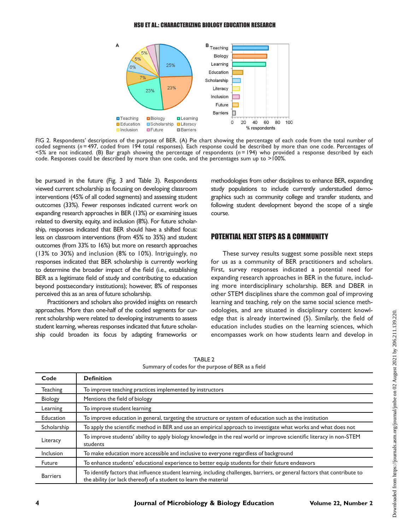

<span id="page-5-0"></span>FIG 2. Respondents' descriptions of the purpose of BER. (A) Pie chart showing the percentage of each code from the total number of coded segments (n = 497, coded from 194 total responses). Each response could be described by more than one code. Percentages of  $5%$  are not indicated. (B) Bar graph showing the percentage of respondents ( $n = 194$ ) who provided a response described by each code. Responses could be described by more than one code, and the percentages sum up to >100%.

be pursued in the future ([Fig. 3](#page-6-0) and [Table 3\)](#page-7-0). Respondents viewed current scholarship as focusing on developing classroom interventions (45% of all coded segments) and assessing student outcomes (33%). Fewer responses indicated current work on expanding research approaches in BER (13%) or examining issues related to diversity, equity, and inclusion (8%). For future scholarship, responses indicated that BER should have a shifted focus: less on classroom interventions (from 45% to 35%) and student outcomes (from 33% to 16%) but more on research approaches (13% to 30%) and inclusion (8% to 10%). Intriguingly, no responses indicated that BER scholarship is currently working to determine the broader impact of the field (i.e., establishing BER as a legitimate field of study and contributing to education beyond postsecondary institutions); however, 8% of responses perceived this as an area of future scholarship.

Practitioners and scholars also provided insights on research approaches. More than one-half of the coded segments for current scholarship were related to developing instruments to assess student learning, whereas responses indicated that future scholarship could broaden its focus by adapting frameworks or

methodologies from other disciplines to enhance BER, expanding study populations to include currently understudied demographics such as community college and transfer students, and following student development beyond the scope of a single course.

# POTENTIAL NEXT STEPS AS A COMMUNITY

These survey results suggest some possible next steps for us as a community of BER practitioners and scholars. First, survey responses indicated a potential need for expanding research approaches in BER in the future, including more interdisciplinary scholarship. BER and DBER in other STEM disciplines share the common goal of improving learning and teaching, rely on the same social science methodologies, and are situated in disciplinary content knowledge that is already intertwined [\(5](#page-8-4)). Similarly, the field of education includes studies on the learning sciences, which encompasses work on how students learn and develop in

<span id="page-5-1"></span>Code Definition Teaching To improve teaching practices implemented by instructors Biology Mentions the field of biology

TABLE 2 Summary of codes for the purpose of BER as a field

| <b>DIOIOSY</b>  | Prentions the field of Diology                                                                                                                                                                 |  |
|-----------------|------------------------------------------------------------------------------------------------------------------------------------------------------------------------------------------------|--|
| Learning        | To improve student learning                                                                                                                                                                    |  |
| Education       | To improve education in general, targeting the structure or system of education such as the institution                                                                                        |  |
| Scholarship     | To apply the scientific method in BER and use an empirical approach to investigate what works and what does not                                                                                |  |
| Literacy        | To improve students' ability to apply biology knowledge in the real world or improve scientific literacy in non-STEM<br>students                                                               |  |
| Inclusion       | To make education more accessible and inclusive to everyone regardless of background                                                                                                           |  |
| Future          | To enhance students' educational experience to better equip students for their future endeavors                                                                                                |  |
| <b>Barriers</b> | To identify factors that influence student learning, including challenges, barriers, or general factors that contribute to<br>the ability (or lack thereof) of a student to learn the material |  |
|                 |                                                                                                                                                                                                |  |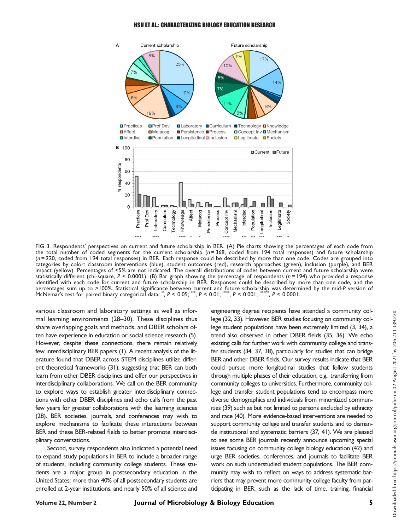#### HSU ET AL.: CHARACTERIZING BIOLOGY EDUCATION RESEARCH



<span id="page-6-0"></span>FIG 3. Respondents' perspectives on current and future scholarship in BER. (A) Pie charts showing the percentages of each code from the total number of coded segments for the current scholarship  $(n = 368, \text{ coded from } 194 \text{ total responses})$  and future scholarship (n = 220, coded from 194 total responses) in BER. Each response could be described by more than one code. Codes are grouped into categories by color: classroom interventions (blue), student outcomes (red), research approaches (green), inclusion (purple), and BER impact (yellow). Percentages of <5% are not indicated. The overall distributions of codes between current and future scholarship were statistically different (chi-square, P < 0.0001). (B) Bar graph showing the percentage of respondents (n=194) who provided a response<br>identified with each code for current and future scholarship in BER. Responses could be percentages sum up to >100%. Statistical significance between current and future scholarship was determined by the mid-P version of<br>McNemar's test for paired binary categorical data. \*, P < 0.05; \*\*, P < 0.01; \*\*\*, P < 0.0 McNemar's test for paired binary categorical data. \* , P < 0.05; \*\*, P < 0.01; \*\*\*, P < 0.001; \*\*\*\*, P < 0.0001.

various classroom and laboratory settings as well as informal learning environments ([28](#page-9-6)[–](#page-9-7)[30\)](#page-9-8). These disciplines thus share overlapping goals and methods, and DBER scholars often have experience in education or social science research [\(5\)](#page-8-4). However, despite these connections, there remain relatively few interdisciplinary BER papers ([1](#page-8-0)). A recent analysis of the literature found that DBER across STEM disciplines utilize different theoretical frameworks [\(31\)](#page-9-9), suggesting that BER can both learn from other DBER disciplines and offer our perspectives in interdisciplinary collaborations. We call on the BER community to explore ways to establish greater interdisciplinary connections with other DBER disciplines and echo calls from the past few years for greater collaborations with the learning sciences [\(28](#page-9-6)). BER societies, journals, and conferences may wish to explore mechanisms to facilitate these interactions between BER and these BER-related fields to better promote interdisciplinary conversations.

Second, survey respondents also indicated a potential need to expand study populations in BER to include a broader range of students, including community college students. These students are a major group in postsecondary education in the United States: more than 40% of all postsecondary students are enrolled at 2-year institutions, and nearly 50% of all science and

engineering degree recipients have attended a community college ([32,](#page-9-10) [33\)](#page-9-11). However, BER studies focusing on community college student populations have been extremely limited ([3](#page-8-2), [34\)](#page-9-12), a trend also observed in other DBER fields [\(35](#page-9-13), [36\)](#page-9-14). We echo existing calls for further work with community college and transfer students [\(34](#page-9-12), [37,](#page-9-15) [38\)](#page-9-16), particularly for studies that can bridge BER and other DBER fields. Our survey results indicate that BER could pursue more longitudinal studies that follow students through multiple phases of their education, e.g., transferring from community colleges to universities. Furthermore, community college and transfer student populations tend to encompass more diverse demographics and individuals from minoritized communities [\(39](#page-9-17)) such as but not limited to persons excluded by ethnicity and race [\(40](#page-9-18)). More evidence-based interventions are needed to support community college and transfer students and to dismantle institutional and systematic barriers [\(37](#page-9-15), [41\)](#page-9-19). We are pleased to see some BER journals recently announce upcoming special issues focusing on community college biology education [\(42\)](#page-9-20) and urge BER societies, conferences, and journals to facilitate BER work on such understudied student populations. The BER community may wish to reflect on ways to address systematic barriers that may prevent more community college faculty from participating in BER, such as the lack of time, training, financial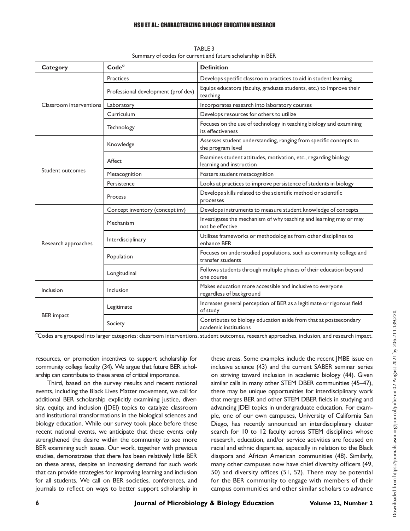#### HSU ET AL.: CHARACTERIZING BIOLOGY EDUCATION RESEARCH

<span id="page-7-0"></span>

| Category                | Code <sup>a</sup>                   | <b>Definition</b>                                                                           |
|-------------------------|-------------------------------------|---------------------------------------------------------------------------------------------|
| Classroom interventions | Practices                           | Develops specific classroom practices to aid in student learning                            |
|                         | Professional development (prof dev) | Equips educators (faculty, graduate students, etc.) to improve their<br>teaching            |
|                         | Laboratory                          | Incorporates research into laboratory courses                                               |
|                         | Curriculum                          | Develops resources for others to utilize                                                    |
|                         | Technology                          | Focuses on the use of technology in teaching biology and examining<br>its effectiveness     |
| Student outcomes        | Knowledge                           | Assesses student understanding, ranging from specific concepts to<br>the program level      |
|                         | Affect                              | Examines student attitudes, motivation, etc., regarding biology<br>learning and instruction |
|                         | Metacognition                       | Fosters student metacognition                                                               |
|                         | Persistence                         | Looks at practices to improve persistence of students in biology                            |
|                         | Process                             | Develops skills related to the scientific method or scientific<br>processes                 |
| Research approaches     | Concept inventory (concept inv)     | Develops instruments to measure student knowledge of concepts                               |
|                         | Mechanism                           | Investigates the mechanism of why teaching and learning may or may<br>not be effective      |
|                         | Interdisciplinary                   | Utilizes frameworks or methodologies from other disciplines to<br>enhance BER               |
|                         | Population                          | Focuses on understudied populations, such as community college and<br>transfer students     |
|                         | Longitudinal                        | Follows students through multiple phases of their education beyond<br>one course            |
| Inclusion               | Inclusion                           | Makes education more accessible and inclusive to everyone<br>regardless of background       |
| <b>BER</b> impact       | Legitimate                          | Increases general perception of BER as a legitimate or rigorous field<br>of study           |
|                         | Society                             | Contributes to biology education aside from that at postsecondary<br>academic institutions  |

TABLE 3 Summary of codes for current and future scholarship in BER

<sup>a</sup>Codes are grouped into larger categories: classroom interventions, student outcomes, research approaches, inclusion, and research impact.

resources, or promotion incentives to support scholarship for community college faculty [\(34](#page-9-12)). We argue that future BER scholarship can contribute to these areas of critical importance.

Third, based on the survey results and recent national events, including the Black Lives Matter movement, we call for additional BER scholarship explicitly examining justice, diversity, equity, and inclusion (JDEI) topics to catalyze classroom and institutional transformations in the biological sciences and biology education. While our survey took place before these recent national events, we anticipate that these events only strengthened the desire within the community to see more BER examining such issues. Our work, together with previous studies, demonstrates that there has been relatively little BER on these areas, despite an increasing demand for such work that can provide strategies for improving learning and inclusion for all students. We call on BER societies, conferences, and journals to reflect on ways to better support scholarship in these areas. Some examples include the recent JMBE issue on inclusive science [\(43\)](#page-9-21) and the current SABER seminar series on striving toward inclusion in academic biology ([44](#page-9-22)). Given similar calls in many other STEM DBER communities ([45](#page-9-23)[–](#page-9-24)[47\)](#page-9-25), there may be unique opportunities for interdisciplinary work that merges BER and other STEM DBER fields in studying and advancing JDEI topics in undergraduate education. For example, one of our own campuses, University of California San Diego, has recently announced an interdisciplinary cluster search for 10 to 12 faculty across STEM disciplines whose research, education, and/or service activities are focused on racial and ethnic disparities, especially in relation to the Black diaspora and African American communities ([48](#page-9-26)). Similarly, many other campuses now have chief diversity officers ([49,](#page-9-27) [50](#page-9-28)) and diversity offices ([51](#page-10-0), [52](#page-10-1)). There may be potential for the BER community to engage with members of their campus communities and other similar scholars to advance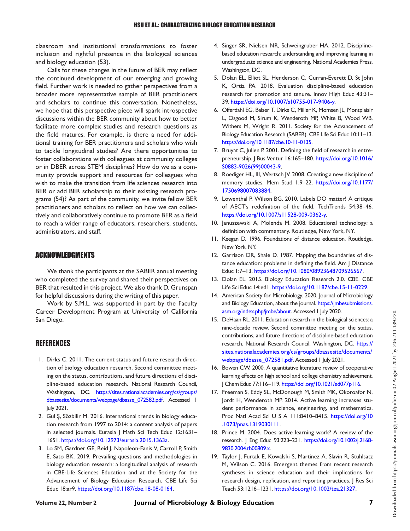classroom and institutional transformations to foster inclusion and rightful presence in the biological sciences and biology education ([53](#page-10-2)).

Calls for these changes in the future of BER may reflect the continued development of our emerging and growing field. Further work is needed to gather perspectives from a broader more representative sample of BER practitioners and scholars to continue this conversation. Nonetheless, we hope that this perspective piece will spark introspective discussions within the BER community about how to better facilitate more complex studies and research questions as the field matures. For example, is there a need for additional training for BER practitioners and scholars who wish to tackle longitudinal studies? Are there opportunities to foster collaborations with colleagues at community colleges or in DBER across STEM disciplines? How do we as a community provide support and resources for colleagues who wish to make the transition from life sciences research into BER or add BER scholarship to their existing research programs [\(54](#page-10-3))? As part of the community, we invite fellow BER practitioners and scholars to reflect on how we can collectively and collaboratively continue to promote BER as a field to reach a wider range of educators, researchers, students, administrators, and staff.

### ACKNOWLEDGMENTS

We thank the participants at the SABER annual meeting who completed the survey and shared their perspectives on BER that resulted in this project. We also thank D. Grunspan for helpful discussions during the writing of this paper.

Work by S.M.L. was supported in part by the Faculty Career Development Program at University of California San Diego.

# **REFERENCES**

- <span id="page-8-0"></span>1. Dirks C. 2011. The current status and future research direction of biology education research. Second committee meeting on the status, contributions, and future directions of discipline-based education research. National Research Council, Washington, DC. [https://sites.nationalacademies.org/cs/groups/](https://sites.nationalacademies.org/cs/groups/dbassesite/documents/webpage/dbasse_072582.pdf) [dbassesite/documents/webpage/dbasse\\_072582.pdf.](https://sites.nationalacademies.org/cs/groups/dbassesite/documents/webpage/dbasse_072582.pdf) Accessed 1 July 2021.
- <span id="page-8-1"></span>2. Gul Ş, Sözbilir M. 2016. International trends in biology education research from 1997 to 2014: a content analysis of papers in selected journals. Eurasia J Math Sci Tech Educ 12:1631– 1651. [https://doi.org/10.12973/eurasia.2015.1363a.](https://doi.org/10.12973/eurasia.2015.1363a)
- <span id="page-8-2"></span>3. Lo SM, Gardner GE, Reid J, Napoleon-Fanis V, Carroll P, Smith E, Sato BK. 2019. Prevailing questions and methodologies in biology education research: a longitudinal analysis of research in CBE-Life Sciences Education and at the Society for the Advancement of Biology Education Research. CBE Life Sci Educ 18:ar9. [https://doi.org/10.1187/cbe.18-08-0164.](https://doi.org/10.1187/cbe.18-08-0164)
- <span id="page-8-3"></span>4. Singer SR, Nielsen NR, Schweingruber HA. 2012. Disciplinebased education research: understanding and improving learning in undergraduate science and engineering. National Academies Press, Washington, DC.
- <span id="page-8-4"></span>5. Dolan EL, Elliot SL, Henderson C, Curran-Everett D, St John K, Ortiz PA. 2018. Evaluation discipline-based education research for promotion and tenure. Innov High Educ 43:31– 39. [https://doi.org/10.1007/s10755-017-9406-y.](https://doi.org/10.1007/s10755-017-9406-y)
- <span id="page-8-5"></span>6. Offerdahl EG, Balser T, Dirks C, Miller K, Momsen JL, Montplaisir L, Osgood M, Sirum K, Wenderoth MP, White B, Wood WB, Withers M, Wright R. 2011. Society for the Advancement of Biology Education Research (SABER). CBE Life Sci Educ 10:11–13. <https://doi.org/10.1187/cbe.10-11-0135>.
- <span id="page-8-6"></span>7. Bruyat C, Julien P. 2001. Defining the field of research in entrepreneurship. J Bus Ventur 16:165–180. [https://doi.org/10.1016/](https://doi.org/10.1016/S0883-9026(99)00043-9) [S0883-9026\(99\)00043-9.](https://doi.org/10.1016/S0883-9026(99)00043-9)
- 8. Roediger HL, III, Wertsch JV. 2008. Creating a new discipline of memory studies. Mem Stud 1:9–22. [https://doi.org/10.1177/](https://doi.org/10.1177/1750698007083884) [1750698007083884.](https://doi.org/10.1177/1750698007083884)
- 9. Lowenthal P, Wilson BG. 2010. Labels DO matter! A critique of AECT's redefinition of the field. TechTrends 54:38–46. [https://doi.org/10.1007/s11528-009-0362-y.](https://doi.org/10.1007/s11528-009-0362-y)
- 10. Januszewski A, Molenda M. 2008. Educational technology: a definition with commentary. Routledge, New York, NY.
- 11. Keegan D. 1996. Foundations of distance education. Routledge, New York, NY.
- 12. Garrison DR, Shale D. 1987. Mapping the boundaries of distance education: problems in defining the field. Am J Distance Educ 1:7–13. [https://doi.org/10.1080/08923648709526567.](https://doi.org/10.1080/08923648709526567)
- <span id="page-8-7"></span>13. Dolan EL. 2015. Biology Education Research 2.0. CBE. CBE Life Sci Educ 14:ed1. [https://doi.org/10.1187/cbe.15-11-0229.](https://doi.org/10.1187/cbe.15-11-0229)
- <span id="page-8-8"></span>14. American Society for Microbiology. 2020. Journal of Microbiology and Biology Education, about the journal. [https://jmbesubmissions.](https://jmbesubmissions.asm.org/index.php/jmbe/about) [asm.org/index.php/jmbe/about.](https://jmbesubmissions.asm.org/index.php/jmbe/about) Accessed 1 July 2020.
- <span id="page-8-9"></span>15. DeHaan RL. 2011. Education research in the biological sciences: a nine-decade review. Second committee meeting on the status, contributions, and future directions of discipline-based education research. National Research Council, Washington, DC. [https://](https://sites.nationalacademies.org/cs/groups/dbassesite/documents/webpage/dbasse_072581.pdf) [sites.nationalacademies.org/cs/groups/dbassesite/documents/](https://sites.nationalacademies.org/cs/groups/dbassesite/documents/webpage/dbasse_072581.pdf) [webpage/dbasse\\_072581.pdf](https://sites.nationalacademies.org/cs/groups/dbassesite/documents/webpage/dbasse_072581.pdf). Accessed 1 July 2021.
- <span id="page-8-10"></span>16. Bowen CW. 2000. A quantitative literature review of cooperative learning effects on high school and college chemistry achievement. J Chem Educ 77:116–119. <https://doi.org/10.1021/ed077p116>.
- 17. Freeman S, Eddy SL, McDonough M, Smith MK, Okoroafor N, Jordt H, Wenderoth MP. 2014. Active learning increases student performance in science, engineering, and mathematics. Proc Natl Acad Sci U S A 111:8410–8415. [https://doi.org/10](https://doi.org/10.1073/pnas.1319030111) [.1073/pnas.1319030111.](https://doi.org/10.1073/pnas.1319030111)
- 18. Prince M. 2004. Does active learning work? A review of the research. J Eng Educ 93:223–231. [https://doi.org/10.1002/j.2168-](https://doi.org/10.1002/j.2168-9830.2004.tb00809.x) [9830.2004.tb00809.x](https://doi.org/10.1002/j.2168-9830.2004.tb00809.x).
- <span id="page-8-11"></span>19. Taylor J, Furtak E, Kowalski S, Martinez A, Slavin R, Stuhlsatz M, Wilson C. 2016. Emergent themes from recent research syntheses in science education and their implications for research design, replication, and reporting practices. J Res Sci Teach 53:1216–1231. [https://doi.org/10.1002/tea.21327.](https://doi.org/10.1002/tea.21327)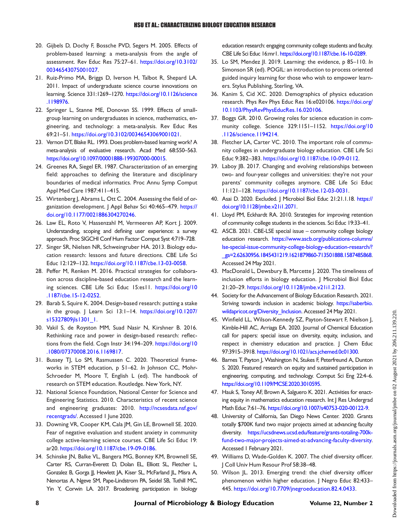- <span id="page-9-0"></span>20. Gijbels D, Dochy F, Bossche PVD, Segers M. 2005. Effects of problem-based learning: a meta-analysis from the angle of assessment. Rev Educ Res 75:27–61. [https://doi.org/10.3102/](https://doi.org/10.3102/00346543075001027) [00346543075001027](https://doi.org/10.3102/00346543075001027).
- 21. Ruiz-Primo MA, Briggs D, Iverson H, Talbot R, Shepard LA. 2011. Impact of undergraduate science course innovations on learning. Science 331:1269–1270. [https://doi.org/10.1126/science](https://doi.org/10.1126/science.1198976) [.1198976.](https://doi.org/10.1126/science.1198976)
- 22. Springer L, Stanne ME, Donovan SS. 1999. Effects of smallgroup learning on undergraduates in science, mathematics, engineering, and technology: a meta-analysis. Rev Educ Res 69:21–51. [https://doi.org/10.3102/00346543069001021.](https://doi.org/10.3102/00346543069001021)
- <span id="page-9-1"></span>23. Vernon DT, Blake RL. 1993. Does problem-based learning work? A meta-analysis of evaluative research. Acad Med 68:550–563. <https://doi.org/10.1097/00001888-199307000-00015>.
- <span id="page-9-2"></span>24. Greenes RA, Siegel ER. 1987. Characterization of an emerging field: approaches to defining the literature and disciplinary boundaries of medical informatics. Proc Annu Symp Comput Appl Med Care 1987:411–415.
- <span id="page-9-3"></span>25. Wirtenberg J, Abrams L, Ott C. 2004. Assessing the field of organization development. J Appl Behav Sci 40:465-479. [https://](https://doi.org/10.1177/0021886304270246) [doi.org/10.1177/0021886304270246](https://doi.org/10.1177/0021886304270246).
- <span id="page-9-4"></span>26. Law EL, Roto V, Hassenzahl M, Vermeeren AP, Kort J. 2009. Understanding, scoping and defining user experience: a survey approach. Proc SIGCHI Conf Hum Factor Comput Syst 4:719–728.
- <span id="page-9-5"></span>27. Singer SR, Nielsen NR, Schweingruber HA. 2013. Biology education research: lessons and future directions. CBE Life Sci Educ 12:129–132. [https://doi.org/10.1187/cbe.13-03-0058.](https://doi.org/10.1187/cbe.13-03-0058)
- <span id="page-9-6"></span>28. Peffer M, Renken M. 2016. Practical strategies for collaboration across discipline-based education research and the learning sciences. CBE Life Sci Educ 15:es11. [https://doi.org/10](https://doi.org/10.1187/cbe.15-12-0252) [.1187/cbe.15-12-0252.](https://doi.org/10.1187/cbe.15-12-0252)
- <span id="page-9-7"></span>29. Barab S, Squire K. 2004. Design-based research: putting a stake in the group. J Learn Sci 13:1–14. [https://doi.org/10.1207/](https://doi.org/10.1207/s15327809jls1301_1) [s15327809jls1301\\_1.](https://doi.org/10.1207/s15327809jls1301_1)
- <span id="page-9-8"></span>30. Vakil S, de Royston MM, Suad Nasir N, Kirshner B. 2016. Rethinking race and power in design-based research: reflections from the field. Cogn Instr 34:194-209. [https://doi.org/10](https://doi.org/10.1080/07370008.2016.1169817) [.1080/07370008.2016.1169817.](https://doi.org/10.1080/07370008.2016.1169817)
- <span id="page-9-9"></span>31. Bussey TJ, Lo SM, Rasmussen C. 2020. Theoretical frameworks in STEM education, p 51–62. In Johnson CC, Mohr-Schroeder M, Moore T, English L (ed). The handbook of research on STEM education. Routledge. New York, NY.
- <span id="page-9-10"></span>32. National Science Foundation, National Center for Science and Engineering Statistics. 2010. Characteristics of recent science and engineering graduates: 2010. [http://ncsesdata.nsf.gov/](http://ncsesdata.nsf.gov/recentgrads/) [recentgrads/.](http://ncsesdata.nsf.gov/recentgrads/) Accessed 1 June 2020.
- <span id="page-9-11"></span>33. Downing VR, Cooper KM, Cala JM, Gin LE, Brownell SE. 2020. Fear of negative evaluation and student anxiety in community college active-learning science courses. CBE Life Sci Educ 19: ar20. [https://doi.org/10.1187/cbe.19-09-0186.](https://doi.org/10.1187/cbe.19-09-0186)
- <span id="page-9-12"></span>34. Schinske JN, Balke VL, Bangera MG, Bonney KM, Brownell SE, Carter RS, Curran-Everett D, Dolan EL, Elliott SL, Fletcher L, Gonzalez B, Gorga JJ, Hewlett JA, Kiser SL, McFarland JL, Misra A, Nenortas A, Ngeve SM, Pape-Lindstrom PA, Seidel SB, Tuthill MC, Yin Y, Corwin LA. 2017. Broadening participation in biology

education research: engaging community college students and faculty. CBE Life Sci Educ 16:mr1. [https://doi.org/10.1187/cbe.16-10-0289.](https://doi.org/10.1187/cbe.16-10-0289)

- <span id="page-9-13"></span>35. Lo SM, Mendez JI. 2019. Learning: the evidence, p 85–110. In Simonson SR (ed). POGIL: an introduction to process oriented guided inquiry learning for those who wish to empower learners. Stylus Publishing, Sterling, VA.
- <span id="page-9-14"></span>36. Kanim S, Cid XC. 2020. Demographics of physics education research. Phys Rev Phys Educ Res 16:e020106. [https://doi.org/](https://doi.org/10.1103/PhysRevPhysEducRes.16.020106) [10.1103/PhysRevPhysEducRes.16.020106](https://doi.org/10.1103/PhysRevPhysEducRes.16.020106).
- <span id="page-9-15"></span>37. Boggs GR. 2010. Growing roles for science education in community college. Science 329:1151–1152. [https://doi.org/10](https://doi.org/10.1126/science.1194214) [.1126/science.1194214](https://doi.org/10.1126/science.1194214).
- <span id="page-9-16"></span>38. Fletcher LA, Carter VC. 2010. The important role of community colleges in undergraduate biology education. CBE Life Sci Educ 9:382–383. <https://doi.org/10.1187/cbe.10-09-0112>.
- <span id="page-9-17"></span>39. Laboy JB. 2017. Changing and evolving relationships between two- and four-year colleges and universities: they're not your parents' community colleges anymore. CBE Life Sci Educ 11:121–128. <https://doi.org/10.1187/cbe.12-03-0031>.
- <span id="page-9-18"></span>40. Asai D. 2020. Excluded. J Microbiol Biol Educ 21:21.1.18. [https://](https://doi.org/10.1128/jmbe.v21i1.2071) [doi.org/10.1128/jmbe.v21i1.2071.](https://doi.org/10.1128/jmbe.v21i1.2071)
- <span id="page-9-19"></span>41. Lloyd PM, Eckhardt RA. 2010. Strategies for improving retention of community college students in the sciences. Sci Educ 19:33–41.
- <span id="page-9-20"></span>42. ASCB. 2021. CBE-LSE special issue – community college biology education research. [https://www.ascb.org/publications-columns/](https://www.ascb.org/publications-columns/lse-special-issue-community-college-biology-education-research/?_ga=2.62630956.1845431219.1621879860-713501888.1587485868) [lse-special-issue-community-college-biology-education-research/?](https://www.ascb.org/publications-columns/lse-special-issue-community-college-biology-education-research/?_ga=2.62630956.1845431219.1621879860-713501888.1587485868) [\\_ga=2.62630956.1845431219.1621879860-713501888.1587485868.](https://www.ascb.org/publications-columns/lse-special-issue-community-college-biology-education-research/?_ga=2.62630956.1845431219.1621879860-713501888.1587485868) Accessed 24 May 2021.
- <span id="page-9-21"></span>43. MacDonald L, Dewsbury B, Marcette J. 2020. The timeliness of inclusion efforts in biology education. J Microbiol Biol Educ 21:20–29. [https://doi.org/10.1128/jmbe.v21i1.2123.](https://doi.org/10.1128/jmbe.v21i1.2123)
- <span id="page-9-22"></span>44. Society for the Advancement of Biology Education Research. 2021. Striving towards inclusion in academic biology. [https://saberbio.](https://saberbio.wildapricot.org/Diversity_Inclusion) wildapricot.org/Diversity Inclusion. Accessed 24 May 2021.
- <span id="page-9-23"></span>45. Winfield LL, Wilson-Kennedy SZ, Payton-Stewart F, Nielson J, Kimble-Hill AC, Arriaga EA. 2020. Journal of Chemical Education call for papers: special issue on diversity, equity, inclusion, and respect in chemistry education and practice. J Chem Educ 97:3915–3918. [https://doi.org/10.1021/acs.jchemed.0c01300.](https://doi.org/10.1021/acs.jchemed.0c01300)
- <span id="page-9-24"></span>46. Barnes T, Payton J, Washington N, Stukes F, Peterfreund A, Dunton S. 2020. Featured research on equity and sustained participation in engineering, computing, and technology. Comput Sci Eng 22:4–6. <https://doi.org/10.1109/MCSE.2020.3010595>.
- <span id="page-9-25"></span>47. Hauk S, Toney AF, Brown A, Salguero K. 2021. Activities for enacting equity in mathematics education research. Int J Res Undergrad Math Educ 7:61–76. <https://doi.org/10.1007/s40753-020-00122-9>.
- <span id="page-9-26"></span>48. University of California, San Diego News Center. 2020. Grants totally \$700K fund two major projects aimed at advancing faculty diversity. [https://ucsdnews.ucsd.edu/feature/grants-totaling-700k](https://ucsdnews.ucsd.edu/feature/grants-totaling-700k-fund-two-major-projects-aimed-at-advancing-faculty-diversity)[fund-two-major-projects-aimed-at-advancing-faculty-diversity.](https://ucsdnews.ucsd.edu/feature/grants-totaling-700k-fund-two-major-projects-aimed-at-advancing-faculty-diversity) Accessed 1 February 2021.
- <span id="page-9-27"></span>49. Williams D, Wade-Golden K. 2007. The chief diversity officer. J Coll Univ Hum Resour Prof 58:38–48.
- <span id="page-9-28"></span>50. Wilson JL. 2013. Emerging trend: the chief diversity officer phenomenon within higher education. J Negro Educ 82:433– 445. [https://doi.org/10.7709/jnegroeducation.82.4.0433.](https://doi.org/10.7709/jnegroeducation.82.4.0433)

Downloaded from https://journals.asm.org/journal/jmbe on 02 August 2021 by 206.211.139.220.